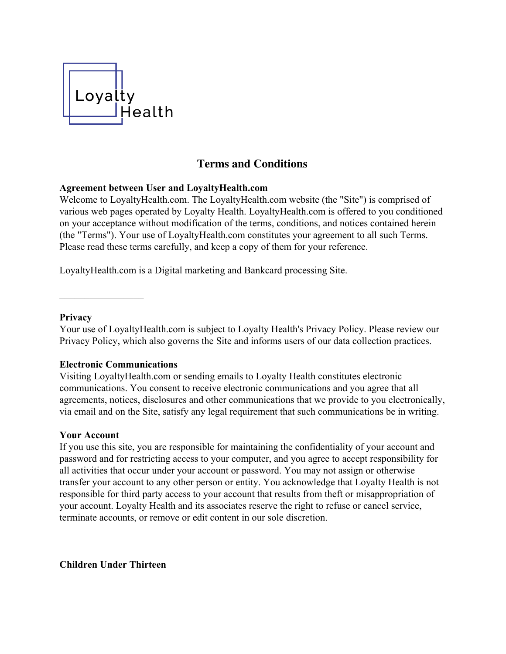

# **Terms and Conditions**

## **Agreement between User and LoyaltyHealth.com**

Welcome to LoyaltyHealth.com. The LoyaltyHealth.com website (the "Site") is comprised of various web pages operated by Loyalty Health. LoyaltyHealth.com is offered to you conditioned on your acceptance without modification of the terms, conditions, and notices contained herein (the "Terms"). Your use of LoyaltyHealth.com constitutes your agreement to all such Terms. Please read these terms carefully, and keep a copy of them for your reference.

LoyaltyHealth.com is a Digital marketing and Bankcard processing Site.

#### **Privacy**

Your use of LoyaltyHealth.com is subject to Loyalty Health's Privacy Policy. Please review our Privacy Policy, which also governs the Site and informs users of our data collection practices.

#### **Electronic Communications**

 $\frac{1}{2}$ 

Visiting LoyaltyHealth.com or sending emails to Loyalty Health constitutes electronic communications. You consent to receive electronic communications and you agree that all agreements, notices, disclosures and other communications that we provide to you electronically, via email and on the Site, satisfy any legal requirement that such communications be in writing.

#### **Your Account**

If you use this site, you are responsible for maintaining the confidentiality of your account and password and for restricting access to your computer, and you agree to accept responsibility for all activities that occur under your account or password. You may not assign or otherwise transfer your account to any other person or entity. You acknowledge that Loyalty Health is not responsible for third party access to your account that results from theft or misappropriation of your account. Loyalty Health and its associates reserve the right to refuse or cancel service, terminate accounts, or remove or edit content in our sole discretion.

**Children Under Thirteen**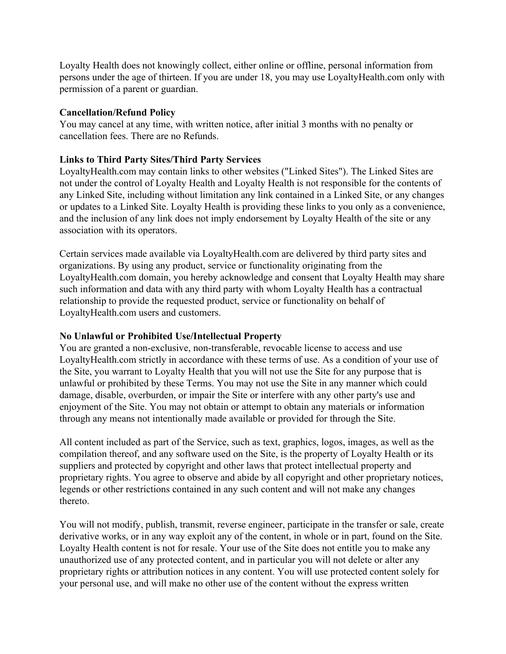Loyalty Health does not knowingly collect, either online or offline, personal information from persons under the age of thirteen. If you are under 18, you may use LoyaltyHealth.com only with permission of a parent or guardian.

## **Cancellation/Refund Policy**

You may cancel at any time, with written notice, after initial 3 months with no penalty or cancellation fees. There are no Refunds.

# **Links to Third Party Sites/Third Party Services**

LoyaltyHealth.com may contain links to other websites ("Linked Sites"). The Linked Sites are not under the control of Loyalty Health and Loyalty Health is not responsible for the contents of any Linked Site, including without limitation any link contained in a Linked Site, or any changes or updates to a Linked Site. Loyalty Health is providing these links to you only as a convenience, and the inclusion of any link does not imply endorsement by Loyalty Health of the site or any association with its operators.

Certain services made available via LoyaltyHealth.com are delivered by third party sites and organizations. By using any product, service or functionality originating from the LoyaltyHealth.com domain, you hereby acknowledge and consent that Loyalty Health may share such information and data with any third party with whom Loyalty Health has a contractual relationship to provide the requested product, service or functionality on behalf of LoyaltyHealth.com users and customers.

# **No Unlawful or Prohibited Use/Intellectual Property**

You are granted a non-exclusive, non-transferable, revocable license to access and use LoyaltyHealth.com strictly in accordance with these terms of use. As a condition of your use of the Site, you warrant to Loyalty Health that you will not use the Site for any purpose that is unlawful or prohibited by these Terms. You may not use the Site in any manner which could damage, disable, overburden, or impair the Site or interfere with any other party's use and enjoyment of the Site. You may not obtain or attempt to obtain any materials or information through any means not intentionally made available or provided for through the Site.

All content included as part of the Service, such as text, graphics, logos, images, as well as the compilation thereof, and any software used on the Site, is the property of Loyalty Health or its suppliers and protected by copyright and other laws that protect intellectual property and proprietary rights. You agree to observe and abide by all copyright and other proprietary notices, legends or other restrictions contained in any such content and will not make any changes thereto.

You will not modify, publish, transmit, reverse engineer, participate in the transfer or sale, create derivative works, or in any way exploit any of the content, in whole or in part, found on the Site. Loyalty Health content is not for resale. Your use of the Site does not entitle you to make any unauthorized use of any protected content, and in particular you will not delete or alter any proprietary rights or attribution notices in any content. You will use protected content solely for your personal use, and will make no other use of the content without the express written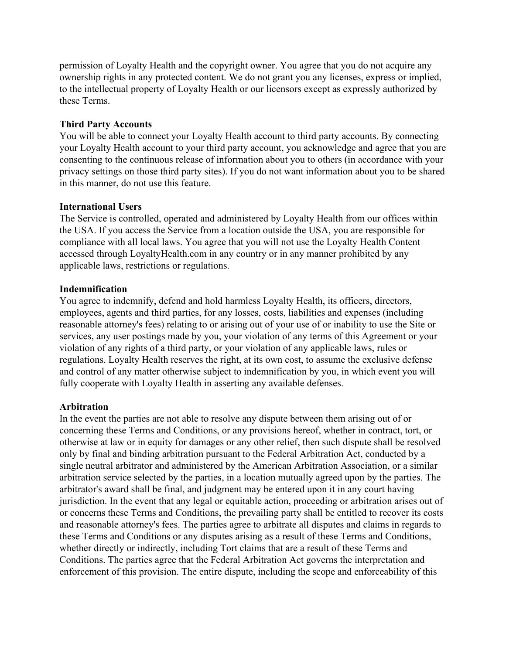permission of Loyalty Health and the copyright owner. You agree that you do not acquire any ownership rights in any protected content. We do not grant you any licenses, express or implied, to the intellectual property of Loyalty Health or our licensors except as expressly authorized by these Terms.

## **Third Party Accounts**

You will be able to connect your Loyalty Health account to third party accounts. By connecting your Loyalty Health account to your third party account, you acknowledge and agree that you are consenting to the continuous release of information about you to others (in accordance with your privacy settings on those third party sites). If you do not want information about you to be shared in this manner, do not use this feature.

## **International Users**

The Service is controlled, operated and administered by Loyalty Health from our offices within the USA. If you access the Service from a location outside the USA, you are responsible for compliance with all local laws. You agree that you will not use the Loyalty Health Content accessed through LoyaltyHealth.com in any country or in any manner prohibited by any applicable laws, restrictions or regulations.

## **Indemnification**

You agree to indemnify, defend and hold harmless Loyalty Health, its officers, directors, employees, agents and third parties, for any losses, costs, liabilities and expenses (including reasonable attorney's fees) relating to or arising out of your use of or inability to use the Site or services, any user postings made by you, your violation of any terms of this Agreement or your violation of any rights of a third party, or your violation of any applicable laws, rules or regulations. Loyalty Health reserves the right, at its own cost, to assume the exclusive defense and control of any matter otherwise subject to indemnification by you, in which event you will fully cooperate with Loyalty Health in asserting any available defenses.

# **Arbitration**

In the event the parties are not able to resolve any dispute between them arising out of or concerning these Terms and Conditions, or any provisions hereof, whether in contract, tort, or otherwise at law or in equity for damages or any other relief, then such dispute shall be resolved only by final and binding arbitration pursuant to the Federal Arbitration Act, conducted by a single neutral arbitrator and administered by the American Arbitration Association, or a similar arbitration service selected by the parties, in a location mutually agreed upon by the parties. The arbitrator's award shall be final, and judgment may be entered upon it in any court having jurisdiction. In the event that any legal or equitable action, proceeding or arbitration arises out of or concerns these Terms and Conditions, the prevailing party shall be entitled to recover its costs and reasonable attorney's fees. The parties agree to arbitrate all disputes and claims in regards to these Terms and Conditions or any disputes arising as a result of these Terms and Conditions, whether directly or indirectly, including Tort claims that are a result of these Terms and Conditions. The parties agree that the Federal Arbitration Act governs the interpretation and enforcement of this provision. The entire dispute, including the scope and enforceability of this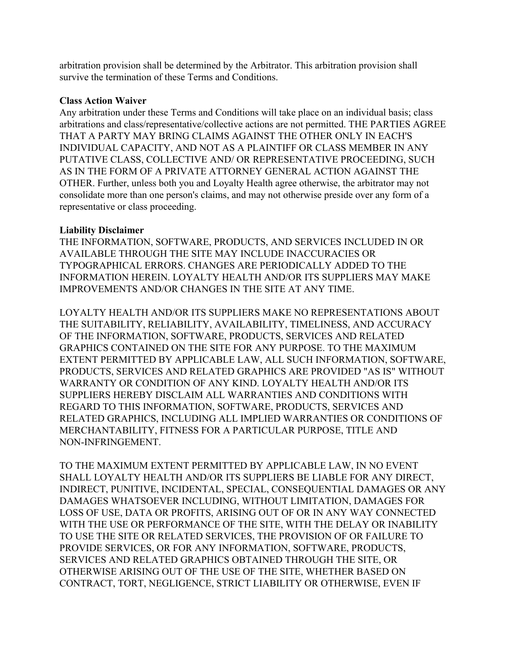arbitration provision shall be determined by the Arbitrator. This arbitration provision shall survive the termination of these Terms and Conditions.

#### **Class Action Waiver**

Any arbitration under these Terms and Conditions will take place on an individual basis; class arbitrations and class/representative/collective actions are not permitted. THE PARTIES AGREE THAT A PARTY MAY BRING CLAIMS AGAINST THE OTHER ONLY IN EACH'S INDIVIDUAL CAPACITY, AND NOT AS A PLAINTIFF OR CLASS MEMBER IN ANY PUTATIVE CLASS, COLLECTIVE AND/ OR REPRESENTATIVE PROCEEDING, SUCH AS IN THE FORM OF A PRIVATE ATTORNEY GENERAL ACTION AGAINST THE OTHER. Further, unless both you and Loyalty Health agree otherwise, the arbitrator may not consolidate more than one person's claims, and may not otherwise preside over any form of a representative or class proceeding.

# **Liability Disclaimer**

THE INFORMATION, SOFTWARE, PRODUCTS, AND SERVICES INCLUDED IN OR AVAILABLE THROUGH THE SITE MAY INCLUDE INACCURACIES OR TYPOGRAPHICAL ERRORS. CHANGES ARE PERIODICALLY ADDED TO THE INFORMATION HEREIN. LOYALTY HEALTH AND/OR ITS SUPPLIERS MAY MAKE IMPROVEMENTS AND/OR CHANGES IN THE SITE AT ANY TIME.

LOYALTY HEALTH AND/OR ITS SUPPLIERS MAKE NO REPRESENTATIONS ABOUT THE SUITABILITY, RELIABILITY, AVAILABILITY, TIMELINESS, AND ACCURACY OF THE INFORMATION, SOFTWARE, PRODUCTS, SERVICES AND RELATED GRAPHICS CONTAINED ON THE SITE FOR ANY PURPOSE. TO THE MAXIMUM EXTENT PERMITTED BY APPLICABLE LAW, ALL SUCH INFORMATION, SOFTWARE, PRODUCTS, SERVICES AND RELATED GRAPHICS ARE PROVIDED "AS IS" WITHOUT WARRANTY OR CONDITION OF ANY KIND. LOYALTY HEALTH AND/OR ITS SUPPLIERS HEREBY DISCLAIM ALL WARRANTIES AND CONDITIONS WITH REGARD TO THIS INFORMATION, SOFTWARE, PRODUCTS, SERVICES AND RELATED GRAPHICS, INCLUDING ALL IMPLIED WARRANTIES OR CONDITIONS OF MERCHANTABILITY, FITNESS FOR A PARTICULAR PURPOSE, TITLE AND NON-INFRINGEMENT.

TO THE MAXIMUM EXTENT PERMITTED BY APPLICABLE LAW, IN NO EVENT SHALL LOYALTY HEALTH AND/OR ITS SUPPLIERS BE LIABLE FOR ANY DIRECT, INDIRECT, PUNITIVE, INCIDENTAL, SPECIAL, CONSEQUENTIAL DAMAGES OR ANY DAMAGES WHATSOEVER INCLUDING, WITHOUT LIMITATION, DAMAGES FOR LOSS OF USE, DATA OR PROFITS, ARISING OUT OF OR IN ANY WAY CONNECTED WITH THE USE OR PERFORMANCE OF THE SITE, WITH THE DELAY OR INABILITY TO USE THE SITE OR RELATED SERVICES, THE PROVISION OF OR FAILURE TO PROVIDE SERVICES, OR FOR ANY INFORMATION, SOFTWARE, PRODUCTS, SERVICES AND RELATED GRAPHICS OBTAINED THROUGH THE SITE, OR OTHERWISE ARISING OUT OF THE USE OF THE SITE, WHETHER BASED ON CONTRACT, TORT, NEGLIGENCE, STRICT LIABILITY OR OTHERWISE, EVEN IF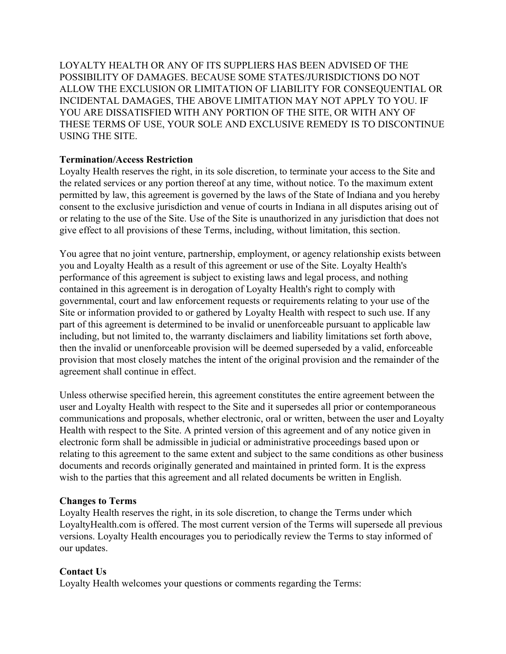LOYALTY HEALTH OR ANY OF ITS SUPPLIERS HAS BEEN ADVISED OF THE POSSIBILITY OF DAMAGES. BECAUSE SOME STATES/JURISDICTIONS DO NOT ALLOW THE EXCLUSION OR LIMITATION OF LIABILITY FOR CONSEQUENTIAL OR INCIDENTAL DAMAGES, THE ABOVE LIMITATION MAY NOT APPLY TO YOU. IF YOU ARE DISSATISFIED WITH ANY PORTION OF THE SITE, OR WITH ANY OF THESE TERMS OF USE, YOUR SOLE AND EXCLUSIVE REMEDY IS TO DISCONTINUE USING THE SITE.

# **Termination/Access Restriction**

Loyalty Health reserves the right, in its sole discretion, to terminate your access to the Site and the related services or any portion thereof at any time, without notice. To the maximum extent permitted by law, this agreement is governed by the laws of the State of Indiana and you hereby consent to the exclusive jurisdiction and venue of courts in Indiana in all disputes arising out of or relating to the use of the Site. Use of the Site is unauthorized in any jurisdiction that does not give effect to all provisions of these Terms, including, without limitation, this section.

You agree that no joint venture, partnership, employment, or agency relationship exists between you and Loyalty Health as a result of this agreement or use of the Site. Loyalty Health's performance of this agreement is subject to existing laws and legal process, and nothing contained in this agreement is in derogation of Loyalty Health's right to comply with governmental, court and law enforcement requests or requirements relating to your use of the Site or information provided to or gathered by Loyalty Health with respect to such use. If any part of this agreement is determined to be invalid or unenforceable pursuant to applicable law including, but not limited to, the warranty disclaimers and liability limitations set forth above, then the invalid or unenforceable provision will be deemed superseded by a valid, enforceable provision that most closely matches the intent of the original provision and the remainder of the agreement shall continue in effect.

Unless otherwise specified herein, this agreement constitutes the entire agreement between the user and Loyalty Health with respect to the Site and it supersedes all prior or contemporaneous communications and proposals, whether electronic, oral or written, between the user and Loyalty Health with respect to the Site. A printed version of this agreement and of any notice given in electronic form shall be admissible in judicial or administrative proceedings based upon or relating to this agreement to the same extent and subject to the same conditions as other business documents and records originally generated and maintained in printed form. It is the express wish to the parties that this agreement and all related documents be written in English.

#### **Changes to Terms**

Loyalty Health reserves the right, in its sole discretion, to change the Terms under which LoyaltyHealth.com is offered. The most current version of the Terms will supersede all previous versions. Loyalty Health encourages you to periodically review the Terms to stay informed of our updates.

# **Contact Us**

Loyalty Health welcomes your questions or comments regarding the Terms: